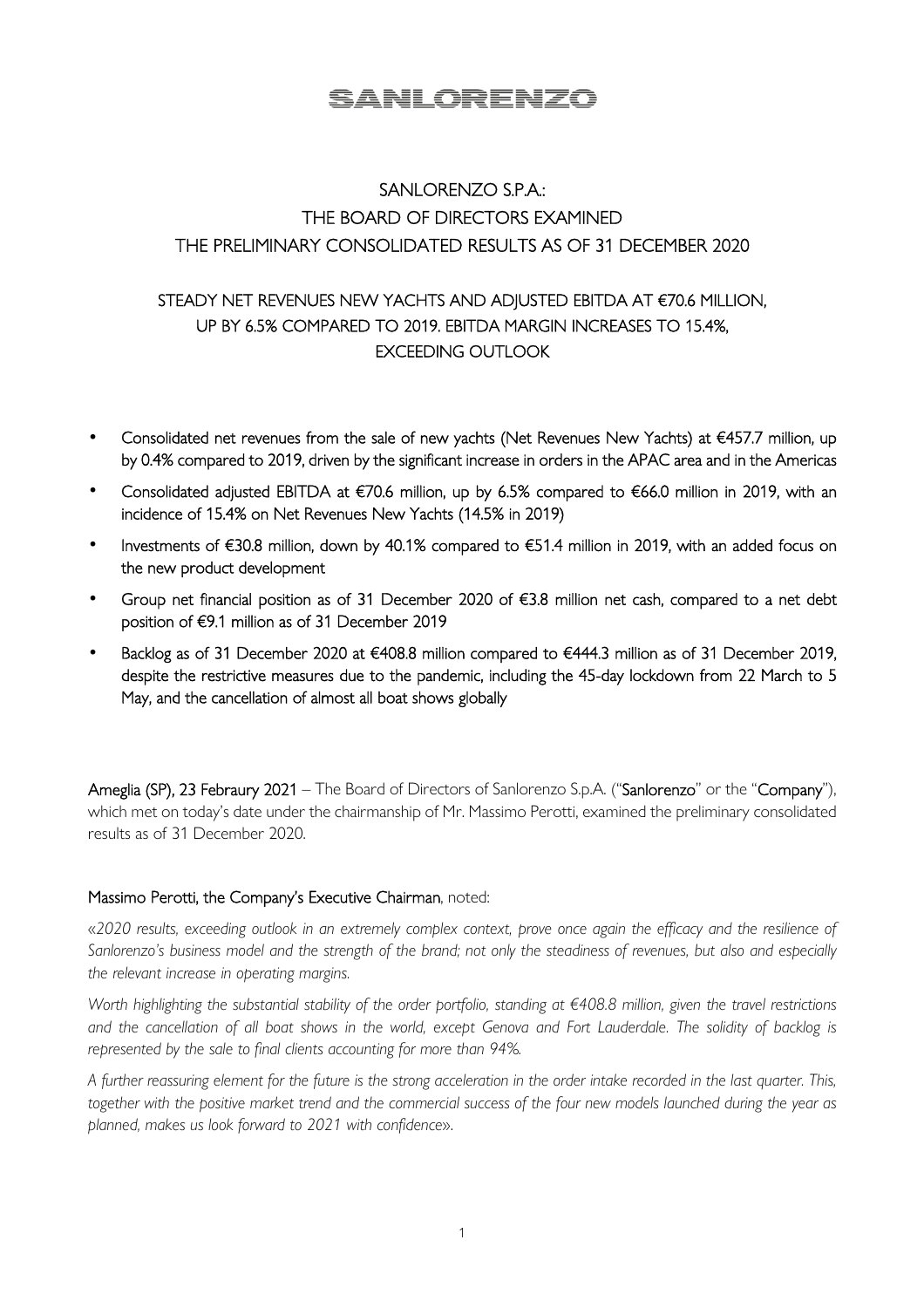# <u>SANLORENZO</u>

# SANLORENZO S.P.A.: THE BOARD OF DIRECTORS EXAMINED THE PRELIMINARY CONSOLIDATED RESULTS AS OF 31 DECEMBER 2020

## STEADY NET REVENUES NEW YACHTS AND ADJUSTED EBITDA AT €70.6 MILLION, UP BY 6.5% COMPARED TO 2019. EBITDA MARGIN INCREASES TO 15.4%, EXCEEDING OUTLOOK

- Consolidated net revenues from the sale of new yachts (Net Revenues New Yachts) at €457.7 million, up by 0.4% compared to 2019, driven by the significant increase in orders in the APAC area and in the Americas
- Consolidated adjusted EBITDA at €70.6 million, up by 6.5% compared to €66.0 million in 2019, with an incidence of 15.4% on Net Revenues New Yachts (14.5% in 2019)
- Investments of €30.8 million, down by 40.1% compared to €51.4 million in 2019, with an added focus on the new product development
- Group net financial position as of 31 December 2020 of €3.8 million net cash, compared to a net debt position of €9.1 million as of 31 December 2019
- Backlog as of 31 December 2020 at €408.8 million compared to €444.3 million as of 31 December 2019, despite the restrictive measures due to the pandemic, including the 45-day lockdown from 22 March to 5 May, and the cancellation of almost all boat shows globally

Ameglia (SP), 23 Febraury 2021 – The Board of Directors of Sanlorenzo S.p.A. ("Sanlorenzo" or the "Company"), which met on today's date under the chairmanship of Mr. Massimo Perotti, examined the preliminary consolidated results as of 31 December 2020.

#### Massimo Perotti, the Company's Executive Chairman, noted:

«*2020 results, exceeding outlook in an extremely complex context, prove once again the efficacy and the resilience of Sanlorenzo's business model and the strength of the brand; not only the steadiness of revenues, but also and especially the relevant increase in operating margins.* 

*Worth highlighting the substantial stability of the order portfolio, standing at €408.8 million, given the travel restrictions and the cancellation of all boat shows in the world, except Genova and Fort Lauderdale. The solidity of backlog is represented by the sale to final clients accounting for more than 94%.* 

*A further reassuring element for the future is the strong acceleration in the order intake recorded in the last quarter. This, together with the positive market trend and the commercial success of the four new models launched during the year as planned, makes us look forward to 2021 with confidence*».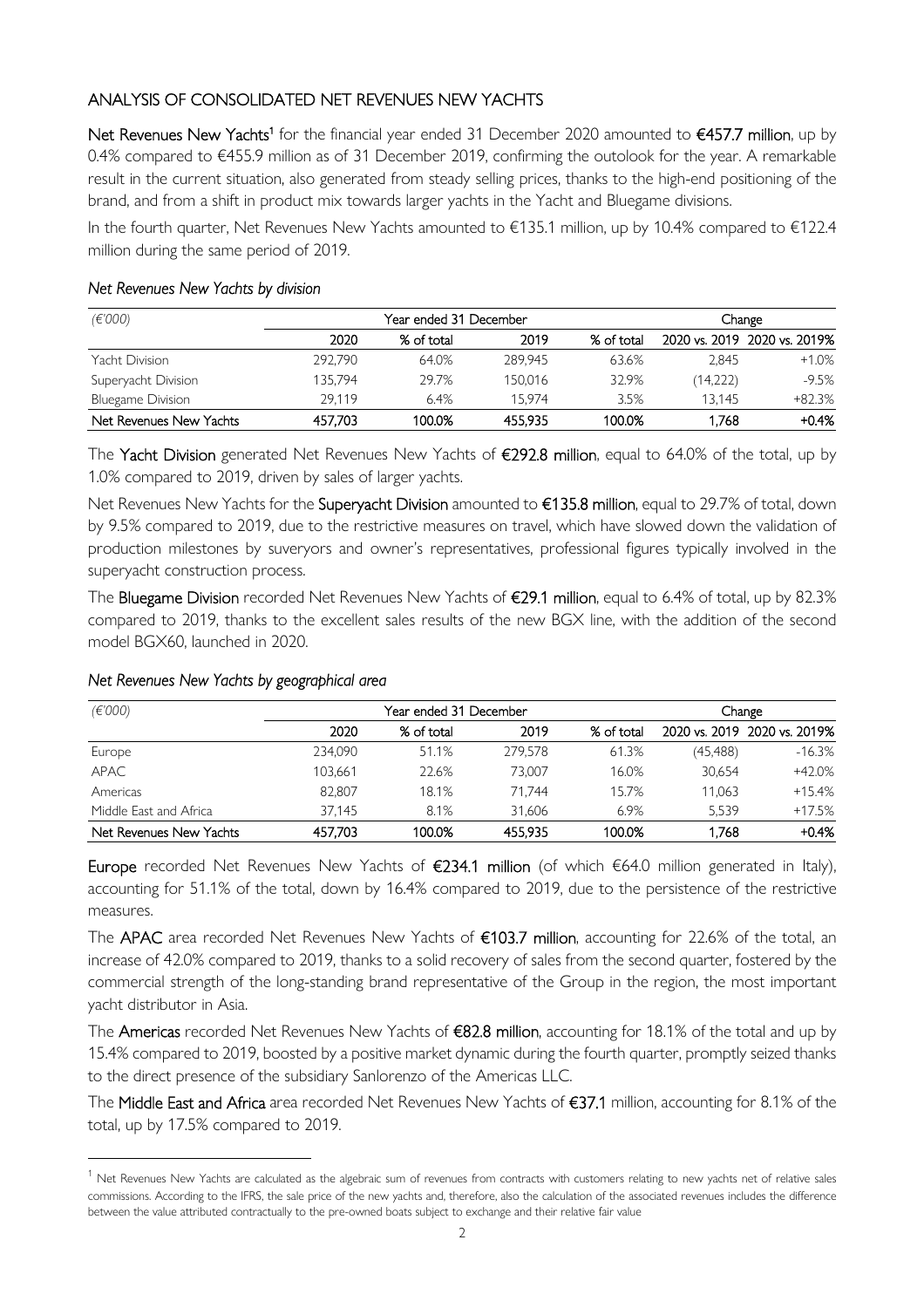### ANALYSIS OF CONSOLIDATED NET REVENUES NEW YACHTS

Net Revenues New Yachts<sup>1</sup> for the financial year ended 31 December 2020 amounted to €457.7 million, up by 0.4% compared to €455.9 million as of 31 December 2019, confirming the outolook for the year. A remarkable result in the current situation, also generated from steady selling prices, thanks to the high-end positioning of the brand, and from a shift in product mix towards larger yachts in the Yacht and Bluegame divisions.

In the fourth quarter, Net Revenues New Yachts amounted to €135.1 million, up by 10.4% compared to €122.4 million during the same period of 2019.

#### *Net Revenues New Yachts by division*

| (E'000)                  |         | Year ended 31 December | Change  |            |          |                              |
|--------------------------|---------|------------------------|---------|------------|----------|------------------------------|
|                          | 2020    | % of total             | 2019    | % of total |          | 2020 vs. 2019 2020 vs. 2019% |
| Yacht Division           | 292.790 | 64.0%                  | 289.945 | 63.6%      | 2.845    | $+1.0%$                      |
| Superyacht Division      | 135.794 | 29.7%                  | 150.016 | 32.9%      | (14,222) | $-9.5%$                      |
| <b>Bluegame Division</b> | 29.119  | 6.4%                   | 15.974  | 3.5%       | 13.145   | $+82.3%$                     |
| Net Revenues New Yachts  | 457.703 | 100.0%                 | 455.935 | 100.0%     | 1.768    | $+0.4%$                      |

The Yacht Division generated Net Revenues New Yachts of €292.8 million, equal to 64.0% of the total, up by 1.0% compared to 2019, driven by sales of larger yachts.

Net Revenues New Yachts for the Superyacht Division amounted to €135.8 million, equal to 29.7% of total, down by 9.5% compared to 2019, due to the restrictive measures on travel, which have slowed down the validation of production milestones by suveryors and owner's representatives, professional figures typically involved in the superyacht construction process.

The Bluegame Division recorded Net Revenues New Yachts of €29.1 million, equal to 6.4% of total, up by 82.3% compared to 2019, thanks to the excellent sales results of the new BGX line, with the addition of the second model BGX60, launched in 2020.

| (E'000)                 | Year ended 31 December |            |         |            | Change    |                              |
|-------------------------|------------------------|------------|---------|------------|-----------|------------------------------|
|                         | 2020                   | % of total | 2019    | % of total |           | 2020 vs. 2019 2020 vs. 2019% |
| Europe                  | 234.090                | 51.1%      | 279.578 | 61.3%      | (45, 488) | $-16.3%$                     |
| <b>APAC</b>             | 103.661                | 22.6%      | 73.007  | 16.0%      | 30.654    | $+42.0%$                     |
| Americas                | 82.807                 | 18.1%      | 71.744  | 15.7%      | 11.063    | $+15.4%$                     |
| Middle East and Africa  | 37.145                 | 8.1%       | 31.606  | 6.9%       | 5.539     | $+17.5%$                     |
| Net Revenues New Yachts | 457.703                | 100.0%     | 455.935 | 100.0%     | 1.768     | $+0.4%$                      |

#### *Net Revenues New Yachts by geographical area*

Europe recorded Net Revenues New Yachts of €234.1 million (of which €64.0 million generated in Italy), accounting for 51.1% of the total, down by 16.4% compared to 2019, due to the persistence of the restrictive measures.

The APAC area recorded Net Revenues New Yachts of €103.7 million, accounting for 22.6% of the total, an increase of 42.0% compared to 2019, thanks to a solid recovery of sales from the second quarter, fostered by the commercial strength of the long-standing brand representative of the Group in the region, the most important yacht distributor in Asia.

The Americas recorded Net Revenues New Yachts of €82.8 million, accounting for 18.1% of the total and up by 15.4% compared to 2019, boosted by a positive market dynamic during the fourth quarter, promptly seized thanks to the direct presence of the subsidiary Sanlorenzo of the Americas LLC.

The Middle East and Africa area recorded Net Revenues New Yachts of €37.1 million, accounting for 8.1% of the total, up by 17.5% compared to 2019.

 $^1$  Net Revenues New Yachts are calculated as the algebraic sum of revenues from contracts with customers relating to new yachts net of relative sales commissions. According to the IFRS, the sale price of the new yachts and, therefore, also the calculation of the associated revenues includes the difference between the value attributed contractually to the pre-owned boats subject to exchange and their relative fair value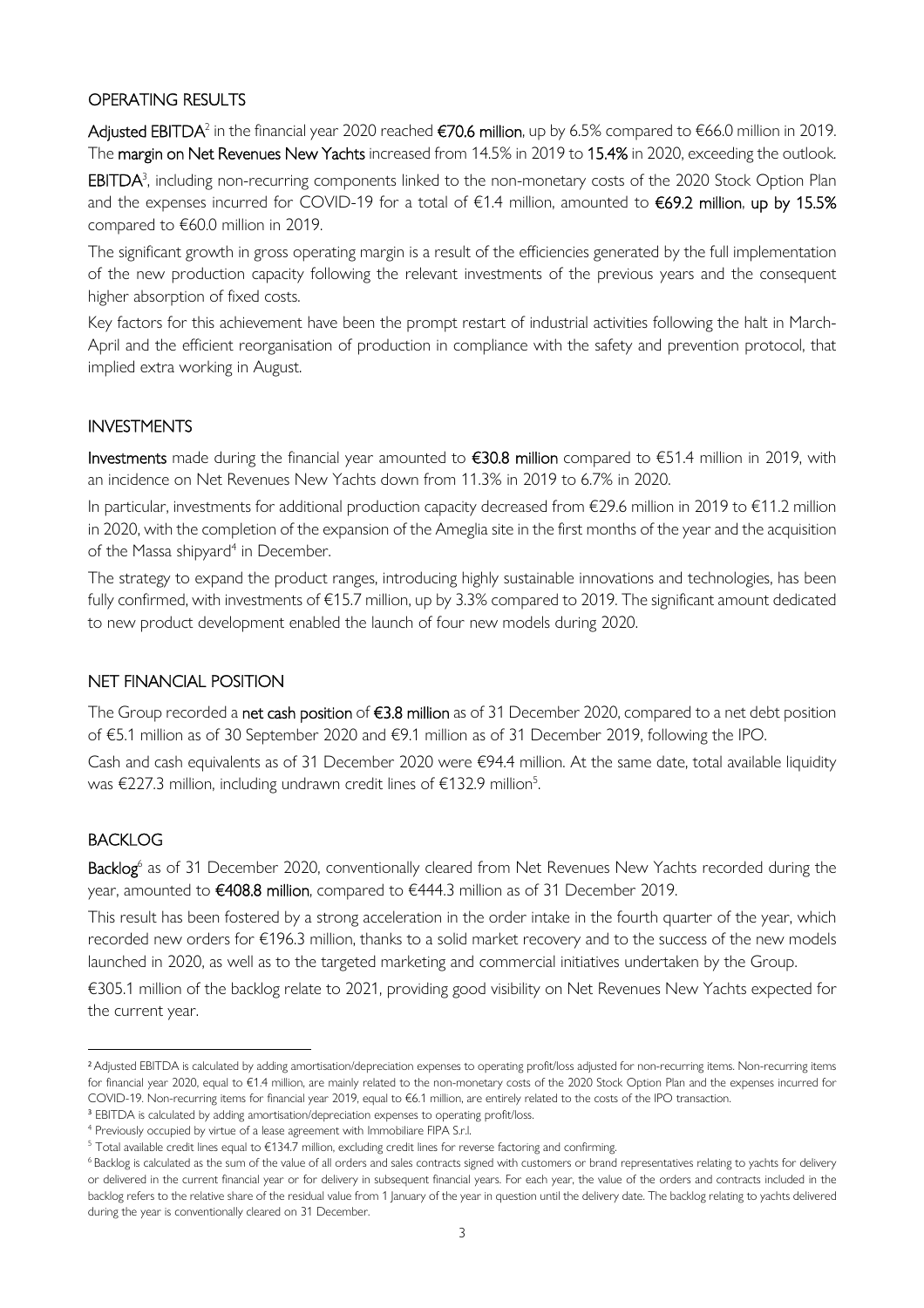#### OPERATING RESULTS

**Adjusted EBITDA**<sup>2</sup> in the financial year 2020 reached **€70.6 million**, up by 6.5% compared to €66.0 million in 2019. The margin on Net Revenues New Yachts increased from 14.5% in 2019 to 15.4% in 2020, exceeding the outlook. EBITDA<sup>3</sup>, including non-recurring components linked to the non-monetary costs of the 2020 Stock Option Plan and the expenses incurred for COVID-19 for a total of €1.4 million, amounted to €69.2 million, up by 15.5% compared to €60.0 million in 2019.

The significant growth in gross operating margin is a result of the efficiencies generated by the full implementation of the new production capacity following the relevant investments of the previous years and the consequent higher absorption of fixed costs.

Key factors for this achievement have been the prompt restart of industrial activities following the halt in March-April and the efficient reorganisation of production in compliance with the safety and prevention protocol, that implied extra working in August.

#### INVESTMENTS

Investments made during the financial year amounted to  $\epsilon$ 30.8 million compared to  $\epsilon$ 51.4 million in 2019, with an incidence on Net Revenues New Yachts down from 11.3% in 2019 to 6.7% in 2020.

In particular, investments for additional production capacity decreased from €29.6 million in 2019 to €11.2 million in 2020, with the completion of the expansion of the Ameglia site in the first months of the year and the acquisition of the Massa shipyard<sup>4</sup> in December.

The strategy to expand the product ranges, introducing highly sustainable innovations and technologies, has been fully confirmed, with investments of €15.7 million, up by 3.3% compared to 2019. The significant amount dedicated to new product development enabled the launch of four new models during 2020.

#### NET FINANCIAL POSITION

The Group recorded a net cash position of €3.8 million as of 31 December 2020, compared to a net debt position of €5.1 million as of 30 September 2020 and €9.1 million as of 31 December 2019, following the IPO.

Cash and cash equivalents as of 31 December 2020 were  $\epsilon$ 94.4 million. At the same date, total available liquidity was €227.3 million, including undrawn credit lines of €132.9 million<sup>5</sup>.

#### BACKLOG

Backlog<sup>6</sup> as of 31 December 2020, conventionally cleared from Net Revenues New Yachts recorded during the year, amounted to €408.8 million, compared to €444.3 million as of 31 December 2019.

This result has been fostered by a strong acceleration in the order intake in the fourth quarter of the year, which recorded new orders for €196.3 million, thanks to a solid market recovery and to the success of the new models launched in 2020, as well as to the targeted marketing and commercial initiatives undertaken by the Group.

€305.1 million of the backlog relate to 2021, providing good visibility on Net Revenues New Yachts expected for the current year.

<sup>&</sup>lt;sup>2</sup> Adjusted EBITDA is calculated by adding amortisation/depreciation expenses to operating profit/loss adjusted for non-recurring items. Non-recurring items for financial year 2020, equal to €1.4 million, are mainly related to the non-monetary costs of the 2020 Stock Option Plan and the expenses incurred for COVID-19. Non-recurring items for financial year 2019, equal to €6.1 million, are entirely related to the costs of the IPO transaction.

<sup>&</sup>lt;sup>3</sup> EBITDA is calculated by adding amortisation/depreciation expenses to operating profit/loss.

<sup>&</sup>lt;sup>4</sup> Previously occupied by virtue of a lease agreement with Immobiliare FIPA S.r.l.

 $^5$  Total available credit lines equal to €134.7 million, excluding credit lines for reverse factoring and confirming.

<sup>&</sup>lt;sup>6</sup>Backlog is calculated as the sum of the value of all orders and sales contracts signed with customers or brand representatives relating to yachts for delivery or delivered in the current financial year or for delivery in subsequent financial years. For each year, the value of the orders and contracts included in the backlog refers to the relative share of the residual value from 1 January of the year in question until the delivery date. The backlog relating to yachts delivered during the year is conventionally cleared on 31 December.